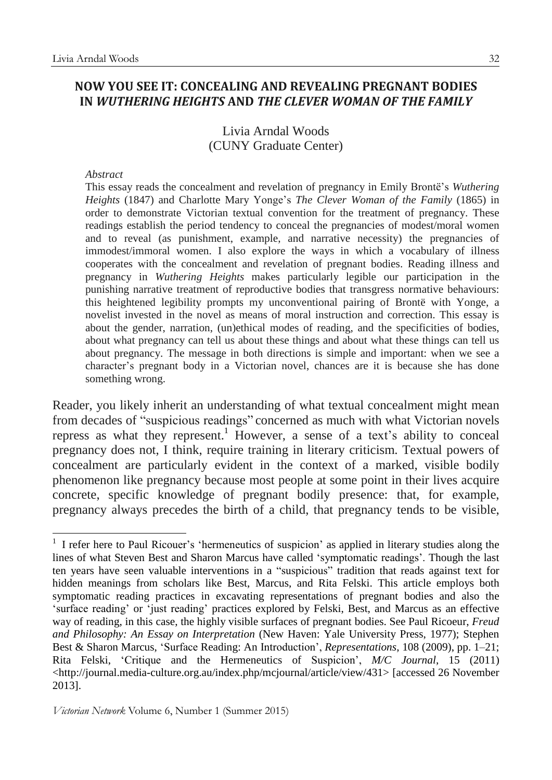# Livia Arndal Woods (CUNY Graduate Center)

### *Abstract*

This essay reads the concealment and revelation of pregnancy in Emily Brontë's *Wuthering Heights* (1847) and Charlotte Mary Yonge's *The Clever Woman of the Family* (1865) in order to demonstrate Victorian textual convention for the treatment of pregnancy. These readings establish the period tendency to conceal the pregnancies of modest/moral women and to reveal (as punishment, example, and narrative necessity) the pregnancies of immodest/immoral women. I also explore the ways in which a vocabulary of illness cooperates with the concealment and revelation of pregnant bodies. Reading illness and pregnancy in *Wuthering Heights* makes particularly legible our participation in the punishing narrative treatment of reproductive bodies that transgress normative behaviours: this heightened legibility prompts my unconventional pairing of Brontë with Yonge, a novelist invested in the novel as means of moral instruction and correction. This essay is about the gender, narration, (un)ethical modes of reading, and the specificities of bodies, about what pregnancy can tell us about these things and about what these things can tell us about pregnancy. The message in both directions is simple and important: when we see a character's pregnant body in a Victorian novel, chances are it is because she has done something wrong.

Reader, you likely inherit an understanding of what textual concealment might mean from decades of "suspicious readings" concerned as much with what Victorian novels repress as what they represent.<sup>1</sup> However, a sense of a text's ability to conceal pregnancy does not, I think, require training in literary criticism. Textual powers of concealment are particularly evident in the context of a marked, visible bodily phenomenon like pregnancy because most people at some point in their lives acquire concrete, specific knowledge of pregnant bodily presence: that, for example, pregnancy always precedes the birth of a child, that pregnancy tends to be visible,

<sup>1</sup> 1 I refer here to Paul Ricouer's 'hermeneutics of suspicion' as applied in literary studies along the lines of what Steven Best and Sharon Marcus have called 'symptomatic readings'. Though the last ten years have seen valuable interventions in a "suspicious" tradition that reads against text for hidden meanings from scholars like Best, Marcus, and Rita Felski. This article employs both symptomatic reading practices in excavating representations of pregnant bodies and also the 'surface reading' or 'just reading' practices explored by Felski, Best, and Marcus as an effective way of reading, in this case, the highly visible surfaces of pregnant bodies. See Paul Ricoeur, *Freud and Philosophy: An Essay on Interpretation* (New Haven: Yale University Press, 1977); Stephen Best & Sharon Marcus, 'Surface Reading: An Introduction', *Representations*, 108 (2009), pp. 1–21; Rita Felski, 'Critique and the Hermeneutics of Suspicion', *M/C Journal*, 15 (2011) <http://journal.media-culture.org.au/index.php/mcjournal/article/view/431> [accessed 26 November 2013].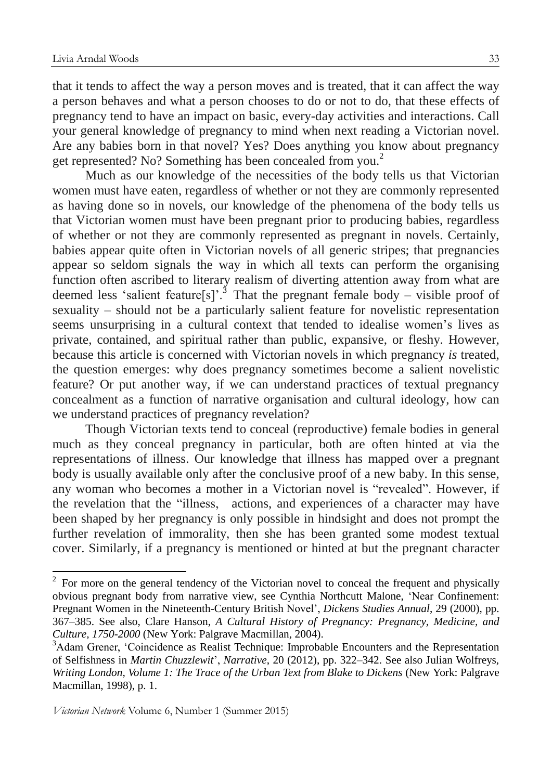that it tends to affect the way a person moves and is treated, that it can affect the way a person behaves and what a person chooses to do or not to do, that these effects of pregnancy tend to have an impact on basic, every-day activities and interactions. Call your general knowledge of pregnancy to mind when next reading a Victorian novel. Are any babies born in that novel? Yes? Does anything you know about pregnancy get represented? No? Something has been concealed from you. 2

Much as our knowledge of the necessities of the body tells us that Victorian women must have eaten, regardless of whether or not they are commonly represented as having done so in novels, our knowledge of the phenomena of the body tells us that Victorian women must have been pregnant prior to producing babies, regardless of whether or not they are commonly represented as pregnant in novels. Certainly, babies appear quite often in Victorian novels of all generic stripes; that pregnancies appear so seldom signals the way in which all texts can perform the organising function often ascribed to literary realism of diverting attention away from what are deemed less 'salient feature[s]'.<sup>3</sup> That the pregnant female body – visible proof of sexuality – should not be a particularly salient feature for novelistic representation seems unsurprising in a cultural context that tended to idealise women's lives as private, contained, and spiritual rather than public, expansive, or fleshy. However, because this article is concerned with Victorian novels in which pregnancy *is* treated, the question emerges: why does pregnancy sometimes become a salient novelistic feature? Or put another way, if we can understand practices of textual pregnancy concealment as a function of narrative organisation and cultural ideology, how can we understand practices of pregnancy revelation?

Though Victorian texts tend to conceal (reproductive) female bodies in general much as they conceal pregnancy in particular, both are often hinted at via the representations of illness. Our knowledge that illness has mapped over a pregnant body is usually available only after the conclusive proof of a new baby. In this sense, any woman who becomes a mother in a Victorian novel is "revealed". However, if the revelation that the "illness, actions, and experiences of a character may have been shaped by her pregnancy is only possible in hindsight and does not prompt the further revelation of immorality, then she has been granted some modest textual cover. Similarly, if a pregnancy is mentioned or hinted at but the pregnant character

 $2^2$  For more on the general tendency of the Victorian novel to conceal the frequent and physically obvious pregnant body from narrative view, see Cynthia Northcutt Malone, 'Near Confinement: Pregnant Women in the Nineteenth-Century British Novel', *Dickens Studies Annual*, 29 (2000), pp. 367–385. See also, Clare Hanson, *A Cultural History of Pregnancy: Pregnancy, Medicine, and Culture, 1750-2000* (New York: Palgrave Macmillan, 2004).

<sup>&</sup>lt;sup>3</sup>Adam Grener, 'Coincidence as Realist Technique: Improbable Encounters and the Representation of Selfishness in *Martin Chuzzlewit*', *Narrative*, 20 (2012), pp. 322–342. See also Julian Wolfreys, *Writing London, Volume 1: The Trace of the Urban Text from Blake to Dickens* (New York: Palgrave Macmillan, 1998), p. 1.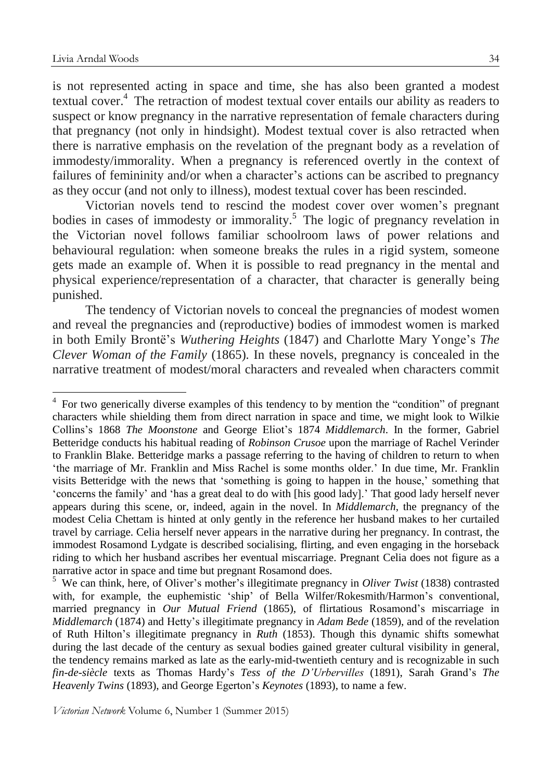is not represented acting in space and time, she has also been granted a modest textual cover. 4 The retraction of modest textual cover entails our ability as readers to suspect or know pregnancy in the narrative representation of female characters during that pregnancy (not only in hindsight). Modest textual cover is also retracted when there is narrative emphasis on the revelation of the pregnant body as a revelation of immodesty/immorality. When a pregnancy is referenced overtly in the context of failures of femininity and/or when a character's actions can be ascribed to pregnancy as they occur (and not only to illness), modest textual cover has been rescinded.

Victorian novels tend to rescind the modest cover over women's pregnant bodies in cases of immodesty or immorality.<sup>5</sup> The logic of pregnancy revelation in the Victorian novel follows familiar schoolroom laws of power relations and behavioural regulation: when someone breaks the rules in a rigid system, someone gets made an example of. When it is possible to read pregnancy in the mental and physical experience/representation of a character, that character is generally being punished.

The tendency of Victorian novels to conceal the pregnancies of modest women and reveal the pregnancies and (reproductive) bodies of immodest women is marked in both Emily Brontë's *Wuthering Heights* (1847) and Charlotte Mary Yonge's *The Clever Woman of the Family* (1865)*.* In these novels, pregnancy is concealed in the narrative treatment of modest/moral characters and revealed when characters commit

<sup>&</sup>lt;sup>4</sup> For two generically diverse examples of this tendency to by mention the "condition" of pregnant characters while shielding them from direct narration in space and time, we might look to Wilkie Collins's 1868 *The Moonstone* and George Eliot's 1874 *Middlemarch*. In the former, Gabriel Betteridge conducts his habitual reading of *Robinson Crusoe* upon the marriage of Rachel Verinder to Franklin Blake. Betteridge marks a passage referring to the having of children to return to when 'the marriage of Mr. Franklin and Miss Rachel is some months older.' In due time, Mr. Franklin visits Betteridge with the news that 'something is going to happen in the house,' something that 'concerns the family' and 'has a great deal to do with [his good lady].' That good lady herself never appears during this scene, or, indeed, again in the novel. In *Middlemarch*, the pregnancy of the modest Celia Chettam is hinted at only gently in the reference her husband makes to her curtailed travel by carriage. Celia herself never appears in the narrative during her pregnancy. In contrast, the immodest Rosamond Lydgate is described socialising, flirting, and even engaging in the horseback riding to which her husband ascribes her eventual miscarriage. Pregnant Celia does not figure as a narrative actor in space and time but pregnant Rosamond does.

<sup>5</sup> We can think, here, of Oliver's mother's illegitimate pregnancy in *Oliver Twist* (1838) contrasted with, for example, the euphemistic 'ship' of Bella Wilfer/Rokesmith/Harmon's conventional, married pregnancy in *Our Mutual Friend* (1865), of flirtatious Rosamond's miscarriage in *Middlemarch* (1874) and Hetty's illegitimate pregnancy in *Adam Bede* (1859), and of the revelation of Ruth Hilton's illegitimate pregnancy in *Ruth* (1853). Though this dynamic shifts somewhat during the last decade of the century as sexual bodies gained greater cultural visibility in general, the tendency remains marked as late as the early-mid-twentieth century and is recognizable in such *fin-de-siècle* texts as Thomas Hardy's *Tess of the D'Urbervilles* (1891), Sarah Grand's *The Heavenly Twins* (1893), and George Egerton's *Keynotes* (1893), to name a few.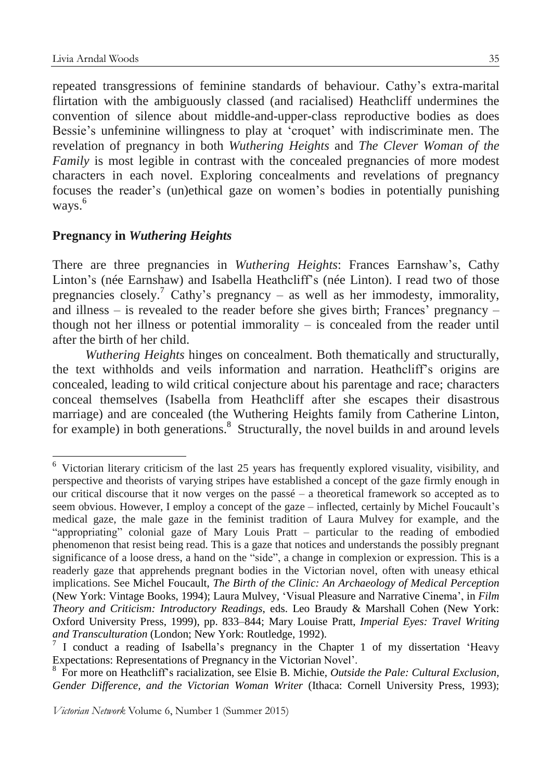repeated transgressions of feminine standards of behaviour. Cathy's extra-marital flirtation with the ambiguously classed (and racialised) Heathcliff undermines the convention of silence about middle-and-upper-class reproductive bodies as does Bessie's unfeminine willingness to play at 'croquet' with indiscriminate men. The revelation of pregnancy in both *Wuthering Heights* and *The Clever Woman of the Family* is most legible in contrast with the concealed pregnancies of more modest characters in each novel. Exploring concealments and revelations of pregnancy focuses the reader's (un)ethical gaze on women's bodies in potentially punishing ways.<sup>6</sup>

### **Pregnancy in** *Wuthering Heights*

There are three pregnancies in *Wuthering Heights*: Frances Earnshaw's, Cathy Linton's (née Earnshaw) and Isabella Heathcliff's (née Linton). I read two of those pregnancies closely.<sup>7</sup> Cathy's pregnancy – as well as her immodesty, immorality, and illness – is revealed to the reader before she gives birth; Frances' pregnancy – though not her illness or potential immorality – is concealed from the reader until after the birth of her child.

*Wuthering Heights* hinges on concealment. Both thematically and structurally, the text withholds and veils information and narration. Heathcliff's origins are concealed, leading to wild critical conjecture about his parentage and race; characters conceal themselves (Isabella from Heathcliff after she escapes their disastrous marriage) and are concealed (the Wuthering Heights family from Catherine Linton, for example) in both generations.<sup>8</sup> Structurally, the novel builds in and around levels

<sup>6</sup> Victorian literary criticism of the last 25 years has frequently explored visuality, visibility, and perspective and theorists of varying stripes have established a concept of the gaze firmly enough in our critical discourse that it now verges on the passé – a theoretical framework so accepted as to seem obvious. However, I employ a concept of the gaze – inflected, certainly by Michel Foucault's medical gaze, the male gaze in the feminist tradition of Laura Mulvey for example, and the "appropriating" colonial gaze of Mary Louis Pratt – particular to the reading of embodied phenomenon that resist being read. This is a gaze that notices and understands the possibly pregnant significance of a loose dress, a hand on the "side", a change in complexion or expression. This is a readerly gaze that apprehends pregnant bodies in the Victorian novel, often with uneasy ethical implications. See Michel Foucault, *The Birth of the Clinic: An Archaeology of Medical Perception* (New York: Vintage Books, 1994); Laura Mulvey, 'Visual Pleasure and Narrative Cinema', in *Film Theory and Criticism: Introductory Readings*, eds. Leo Braudy & Marshall Cohen (New York: Oxford University Press, 1999), pp. 833–844; Mary Louise Pratt, *Imperial Eyes: Travel Writing and Transculturation* (London; New York: Routledge, 1992).

<sup>&</sup>lt;sup>7</sup> I conduct a reading of Isabella's pregnancy in the Chapter 1 of my dissertation 'Heavy Expectations: Representations of Pregnancy in the Victorian Novel'.

<sup>8</sup> For more on Heathcliff's racialization, see Elsie B. Michie, *Outside the Pale: Cultural Exclusion, Gender Difference, and the Victorian Woman Writer* (Ithaca: Cornell University Press, 1993);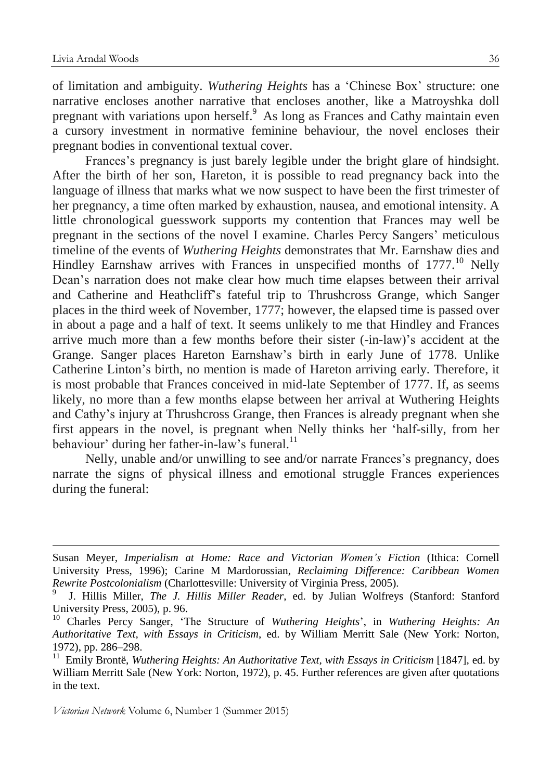of limitation and ambiguity. *Wuthering Heights* has a 'Chinese Box' structure: one narrative encloses another narrative that encloses another, like a Matroyshka doll pregnant with variations upon herself.<sup>9</sup> As long as Frances and Cathy maintain even a cursory investment in normative feminine behaviour, the novel encloses their pregnant bodies in conventional textual cover.

Frances's pregnancy is just barely legible under the bright glare of hindsight. After the birth of her son, Hareton, it is possible to read pregnancy back into the language of illness that marks what we now suspect to have been the first trimester of her pregnancy, a time often marked by exhaustion, nausea, and emotional intensity. A little chronological guesswork supports my contention that Frances may well be pregnant in the sections of the novel I examine. Charles Percy Sangers' meticulous timeline of the events of *Wuthering Heights* demonstrates that Mr. Earnshaw dies and Hindley Earnshaw arrives with Frances in unspecified months of 1777.<sup>10</sup> Nelly Dean's narration does not make clear how much time elapses between their arrival and Catherine and Heathcliff's fateful trip to Thrushcross Grange, which Sanger places in the third week of November, 1777; however, the elapsed time is passed over in about a page and a half of text. It seems unlikely to me that Hindley and Frances arrive much more than a few months before their sister (-in-law)'s accident at the Grange. Sanger places Hareton Earnshaw's birth in early June of 1778. Unlike Catherine Linton's birth, no mention is made of Hareton arriving early. Therefore, it is most probable that Frances conceived in mid-late September of 1777. If, as seems likely, no more than a few months elapse between her arrival at Wuthering Heights and Cathy's injury at Thrushcross Grange, then Frances is already pregnant when she first appears in the novel, is pregnant when Nelly thinks her 'half-silly, from her behaviour' during her father-in-law's funeral. $^{11}$ 

Nelly, unable and/or unwilling to see and/or narrate Frances's pregnancy, does narrate the signs of physical illness and emotional struggle Frances experiences during the funeral:

Susan Meyer, *Imperialism at Home: Race and Victorian Women's Fiction* (Ithica: Cornell University Press, 1996); Carine M Mardorossian, *Reclaiming Difference: Caribbean Women Rewrite Postcolonialism* (Charlottesville: University of Virginia Press, 2005).

<sup>9</sup> J. Hillis Miller, *The J. Hillis Miller Reader*, ed. by Julian Wolfreys (Stanford: Stanford University Press, 2005), p. 96.

<sup>10</sup> Charles Percy Sanger, 'The Structure of *Wuthering Heights*', in *Wuthering Heights: An Authoritative Text, with Essays in Criticism*, ed. by William Merritt Sale (New York: Norton, 1972), pp. 286–298.

<sup>11</sup> Emily Brontë, *Wuthering Heights: An Authoritative Text, with Essays in Criticism* [1847], ed. by William Merritt Sale (New York: Norton, 1972), p. 45. Further references are given after quotations in the text.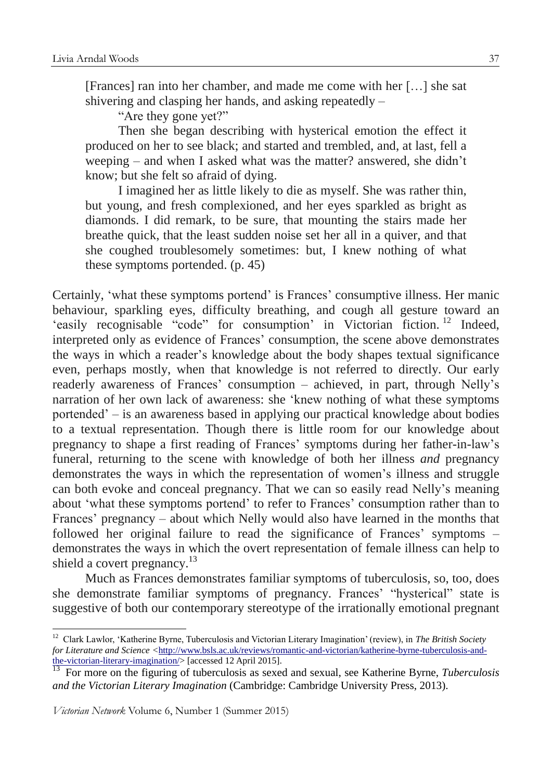[Frances] ran into her chamber, and made me come with her […] she sat shivering and clasping her hands, and asking repeatedly –

"Are they gone yet?"

Then she began describing with hysterical emotion the effect it produced on her to see black; and started and trembled, and, at last, fell a weeping – and when I asked what was the matter? answered, she didn't know; but she felt so afraid of dying.

I imagined her as little likely to die as myself. She was rather thin, but young, and fresh complexioned, and her eyes sparkled as bright as diamonds. I did remark, to be sure, that mounting the stairs made her breathe quick, that the least sudden noise set her all in a quiver, and that she coughed troublesomely sometimes: but, I knew nothing of what these symptoms portended. (p. 45)

Certainly, 'what these symptoms portend' is Frances' consumptive illness. Her manic behaviour, sparkling eyes, difficulty breathing, and cough all gesture toward an 'easily recognisable "code" for consumption' in Victorian fiction.<sup>12</sup> Indeed, interpreted only as evidence of Frances' consumption, the scene above demonstrates the ways in which a reader's knowledge about the body shapes textual significance even, perhaps mostly, when that knowledge is not referred to directly. Our early readerly awareness of Frances' consumption – achieved, in part, through Nelly's narration of her own lack of awareness: she 'knew nothing of what these symptoms portended' – is an awareness based in applying our practical knowledge about bodies to a textual representation. Though there is little room for our knowledge about pregnancy to shape a first reading of Frances' symptoms during her father-in-law's funeral, returning to the scene with knowledge of both her illness *and* pregnancy demonstrates the ways in which the representation of women's illness and struggle can both evoke and conceal pregnancy. That we can so easily read Nelly's meaning about 'what these symptoms portend' to refer to Frances' consumption rather than to Frances' pregnancy – about which Nelly would also have learned in the months that followed her original failure to read the significance of Frances' symptoms – demonstrates the ways in which the overt representation of female illness can help to shield a covert pregnancy.<sup>13</sup>

Much as Frances demonstrates familiar symptoms of tuberculosis, so, too, does she demonstrate familiar symptoms of pregnancy. Frances' "hysterical" state is suggestive of both our contemporary stereotype of the irrationally emotional pregnant

<sup>12</sup> Clark Lawlor, 'Katherine Byrne, Tuberculosis and Victorian Literary Imagination' (review), in *The British Society for Literature and Science <*[http://www.bsls.ac.uk/reviews/romantic-and-victorian/katherine-byrne-tuberculosis-and](http://www.bsls.ac.uk/reviews/romantic-and-victorian/katherine-byrne-tuberculosis-and-the-victorian-literary-imagination/)[the-victorian-literary-imagination/>](http://www.bsls.ac.uk/reviews/romantic-and-victorian/katherine-byrne-tuberculosis-and-the-victorian-literary-imagination/) [accessed 12 April 2015].

<sup>13</sup> For more on the figuring of tuberculosis as sexed and sexual, see Katherine Byrne, *Tuberculosis and the Victorian Literary Imagination* (Cambridge: Cambridge University Press, 2013).

*Victorian Network* Volume 6, Number 1 (Summer 2015)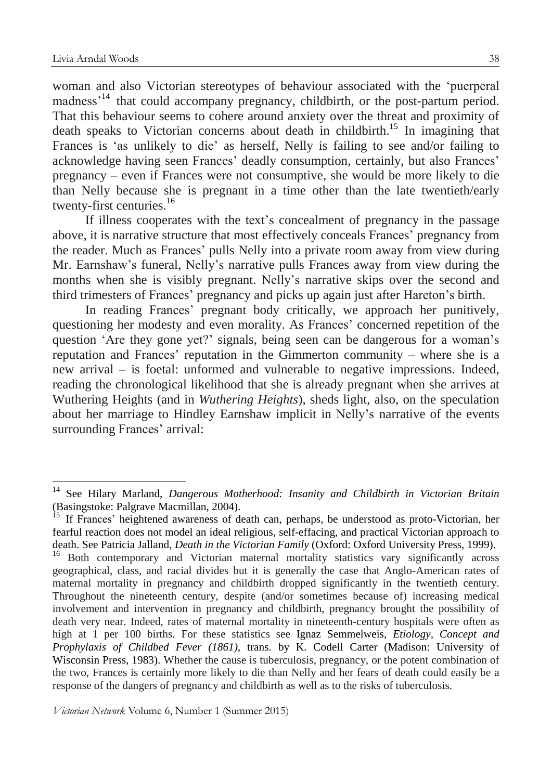woman and also Victorian stereotypes of behaviour associated with the 'puerperal madness'<sup>14</sup> that could accompany pregnancy, childbirth, or the post-partum period. That this behaviour seems to cohere around anxiety over the threat and proximity of death speaks to Victorian concerns about death in childbirth.<sup>15</sup> In imagining that Frances is 'as unlikely to die' as herself, Nelly is failing to see and/or failing to acknowledge having seen Frances' deadly consumption, certainly, but also Frances' pregnancy – even if Frances were not consumptive, she would be more likely to die than Nelly because she is pregnant in a time other than the late twentieth/early twenty-first centuries.<sup>16</sup>

If illness cooperates with the text's concealment of pregnancy in the passage above, it is narrative structure that most effectively conceals Frances' pregnancy from the reader. Much as Frances' pulls Nelly into a private room away from view during Mr. Earnshaw's funeral, Nelly's narrative pulls Frances away from view during the months when she is visibly pregnant. Nelly's narrative skips over the second and third trimesters of Frances' pregnancy and picks up again just after Hareton's birth.

In reading Frances' pregnant body critically, we approach her punitively, questioning her modesty and even morality. As Frances' concerned repetition of the question 'Are they gone yet?' signals, being seen can be dangerous for a woman's reputation and Frances' reputation in the Gimmerton community – where she is a new arrival – is foetal: unformed and vulnerable to negative impressions. Indeed, reading the chronological likelihood that she is already pregnant when she arrives at Wuthering Heights (and in *Wuthering Heights*), sheds light, also, on the speculation about her marriage to Hindley Earnshaw implicit in Nelly's narrative of the events surrounding Frances' arrival:

<sup>14</sup> See Hilary Marland, *Dangerous Motherhood: Insanity and Childbirth in Victorian Britain* (Basingstoke: Palgrave Macmillan, 2004).

<sup>&</sup>lt;sup>15</sup> If Frances' heightened awareness of death can, perhaps, be understood as proto-Victorian, her fearful reaction does not model an ideal religious, self-effacing, and practical Victorian approach to death. See Patricia Jalland, *Death in the Victorian Family* (Oxford: Oxford University Press, 1999).

<sup>&</sup>lt;sup>16</sup> Both contemporary and Victorian maternal mortality statistics vary significantly across geographical, class, and racial divides but it is generally the case that Anglo-American rates of maternal mortality in pregnancy and childbirth dropped significantly in the twentieth century. Throughout the nineteenth century, despite (and/or sometimes because of) increasing medical involvement and intervention in pregnancy and childbirth, pregnancy brought the possibility of death very near. Indeed, rates of maternal mortality in nineteenth-century hospitals were often as high at 1 per 100 births. For these statistics see Ignaz Semmelweis, *Etiology, Concept and Prophylaxis of Childbed Fever (1861)*, trans. by K. Codell Carter (Madison: University of Wisconsin Press, 1983). Whether the cause is tuberculosis, pregnancy, or the potent combination of the two, Frances is certainly more likely to die than Nelly and her fears of death could easily be a response of the dangers of pregnancy and childbirth as well as to the risks of tuberculosis.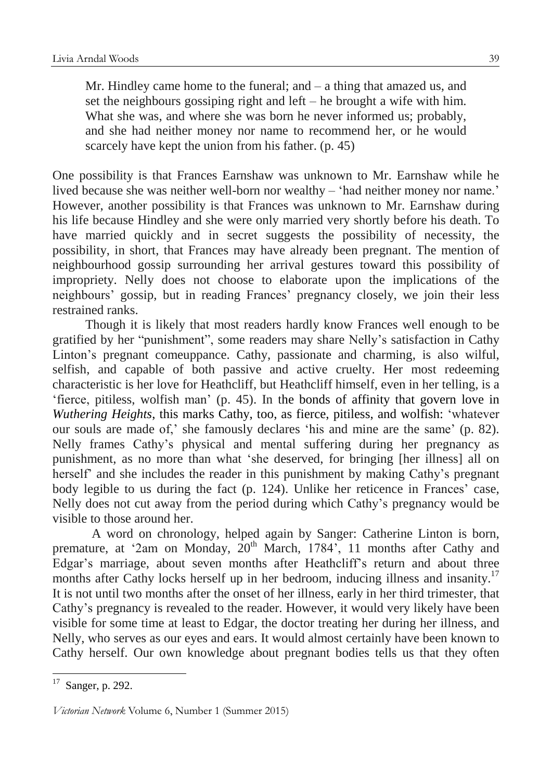Mr. Hindley came home to the funeral; and  $-$  a thing that amazed us, and set the neighbours gossiping right and left – he brought a wife with him. What she was, and where she was born he never informed us; probably, and she had neither money nor name to recommend her, or he would scarcely have kept the union from his father. (p. 45)

One possibility is that Frances Earnshaw was unknown to Mr. Earnshaw while he lived because she was neither well-born nor wealthy – 'had neither money nor name.' However, another possibility is that Frances was unknown to Mr. Earnshaw during his life because Hindley and she were only married very shortly before his death. To have married quickly and in secret suggests the possibility of necessity, the possibility, in short, that Frances may have already been pregnant. The mention of neighbourhood gossip surrounding her arrival gestures toward this possibility of impropriety. Nelly does not choose to elaborate upon the implications of the neighbours' gossip, but in reading Frances' pregnancy closely, we join their less restrained ranks.

Though it is likely that most readers hardly know Frances well enough to be gratified by her "punishment", some readers may share Nelly's satisfaction in Cathy Linton's pregnant comeuppance. Cathy, passionate and charming, is also wilful, selfish, and capable of both passive and active cruelty. Her most redeeming characteristic is her love for Heathcliff, but Heathcliff himself, even in her telling, is a 'fierce, pitiless, wolfish man' (p. 45). In the bonds of affinity that govern love in *Wuthering Heights*, this marks Cathy, too, as fierce, pitiless, and wolfish: 'whatever our souls are made of,' she famously declares 'his and mine are the same' (p. 82). Nelly frames Cathy's physical and mental suffering during her pregnancy as punishment, as no more than what 'she deserved, for bringing [her illness] all on herself' and she includes the reader in this punishment by making Cathy's pregnant body legible to us during the fact (p. 124). Unlike her reticence in Frances' case, Nelly does not cut away from the period during which Cathy's pregnancy would be visible to those around her.

A word on chronology, helped again by Sanger: Catherine Linton is born, premature, at '2am on Monday, 20<sup>th</sup> March, 1784', 11 months after Cathy and Edgar's marriage, about seven months after Heathcliff's return and about three months after Cathy locks herself up in her bedroom, inducing illness and insanity.<sup>17</sup> It is not until two months after the onset of her illness, early in her third trimester, that Cathy's pregnancy is revealed to the reader. However, it would very likely have been visible for some time at least to Edgar, the doctor treating her during her illness, and Nelly, who serves as our eyes and ears. It would almost certainly have been known to Cathy herself. Our own knowledge about pregnant bodies tells us that they often

 $17$  Sanger, p. 292.

*Victorian Network* Volume 6, Number 1 (Summer 2015)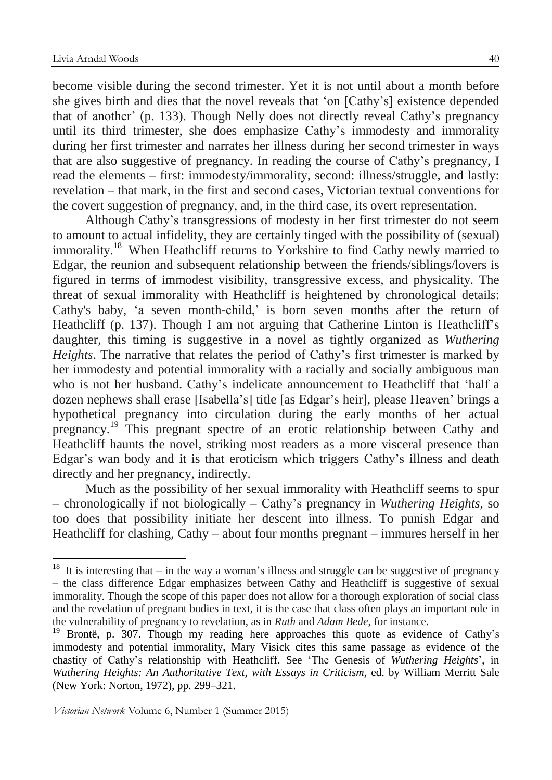become visible during the second trimester. Yet it is not until about a month before she gives birth and dies that the novel reveals that 'on [Cathy's] existence depended that of another' (p. 133). Though Nelly does not directly reveal Cathy's pregnancy until its third trimester, she does emphasize Cathy's immodesty and immorality during her first trimester and narrates her illness during her second trimester in ways that are also suggestive of pregnancy. In reading the course of Cathy's pregnancy, I read the elements – first: immodesty/immorality, second: illness/struggle, and lastly: revelation – that mark, in the first and second cases, Victorian textual conventions for the covert suggestion of pregnancy, and, in the third case, its overt representation.

Although Cathy's transgressions of modesty in her first trimester do not seem to amount to actual infidelity, they are certainly tinged with the possibility of (sexual) immorality.<sup>18</sup> When Heathcliff returns to Yorkshire to find Cathy newly married to Edgar, the reunion and subsequent relationship between the friends/siblings/lovers is figured in terms of immodest visibility, transgressive excess, and physicality. The threat of sexual immorality with Heathcliff is heightened by chronological details: Cathy's baby, 'a seven month-child,' is born seven months after the return of Heathcliff (p. 137). Though I am not arguing that Catherine Linton is Heathcliff's daughter, this timing is suggestive in a novel as tightly organized as *Wuthering Heights*. The narrative that relates the period of Cathy's first trimester is marked by her immodesty and potential immorality with a racially and socially ambiguous man who is not her husband. Cathy's indelicate announcement to Heathcliff that 'half a dozen nephews shall erase [Isabella's] title [as Edgar's heir], please Heaven' brings a hypothetical pregnancy into circulation during the early months of her actual pregnancy.<sup>19</sup> This pregnant spectre of an erotic relationship between Cathy and Heathcliff haunts the novel, striking most readers as a more visceral presence than Edgar's wan body and it is that eroticism which triggers Cathy's illness and death directly and her pregnancy, indirectly.

Much as the possibility of her sexual immorality with Heathcliff seems to spur – chronologically if not biologically – Cathy's pregnancy in *Wuthering Heights*, so too does that possibility initiate her descent into illness. To punish Edgar and Heathcliff for clashing, Cathy – about four months pregnant – immures herself in her

<sup>&</sup>lt;sup>18</sup> It is interesting that – in the way a woman's illness and struggle can be suggestive of pregnancy – the class difference Edgar emphasizes between Cathy and Heathcliff is suggestive of sexual immorality. Though the scope of this paper does not allow for a thorough exploration of social class and the revelation of pregnant bodies in text, it is the case that class often plays an important role in the vulnerability of pregnancy to revelation, as in *Ruth* and *Adam Bede*, for instance.

<sup>&</sup>lt;sup>19</sup> Brontë, p. 307. Though my reading here approaches this quote as evidence of Cathy's immodesty and potential immorality, Mary Visick cites this same passage as evidence of the chastity of Cathy's relationship with Heathcliff. See 'The Genesis of *Wuthering Heights*', in *Wuthering Heights: An Authoritative Text, with Essays in Criticism*, ed. by William Merritt Sale (New York: Norton, 1972), pp. 299–321.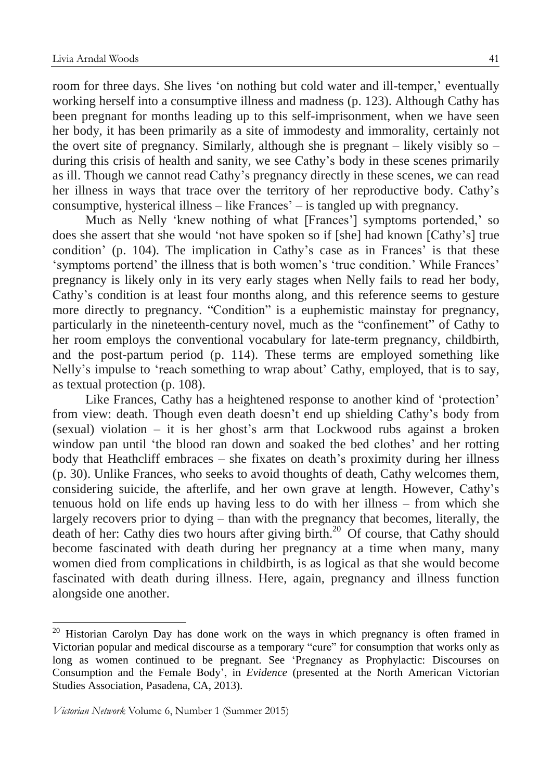room for three days. She lives 'on nothing but cold water and ill-temper,' eventually working herself into a consumptive illness and madness (p. 123). Although Cathy has been pregnant for months leading up to this self-imprisonment, when we have seen her body, it has been primarily as a site of immodesty and immorality, certainly not the overt site of pregnancy. Similarly, although she is pregnant – likely visibly so – during this crisis of health and sanity, we see Cathy's body in these scenes primarily as ill. Though we cannot read Cathy's pregnancy directly in these scenes, we can read her illness in ways that trace over the territory of her reproductive body. Cathy's consumptive, hysterical illness – like Frances' – is tangled up with pregnancy.

Much as Nelly 'knew nothing of what [Frances'] symptoms portended,' so does she assert that she would 'not have spoken so if [she] had known [Cathy's] true condition' (p. 104). The implication in Cathy's case as in Frances' is that these 'symptoms portend' the illness that is both women's 'true condition.' While Frances' pregnancy is likely only in its very early stages when Nelly fails to read her body, Cathy's condition is at least four months along, and this reference seems to gesture more directly to pregnancy. "Condition" is a euphemistic mainstay for pregnancy, particularly in the nineteenth-century novel, much as the "confinement" of Cathy to her room employs the conventional vocabulary for late-term pregnancy, childbirth, and the post-partum period (p. 114). These terms are employed something like Nelly's impulse to 'reach something to wrap about' Cathy, employed, that is to say, as textual protection (p. 108).

Like Frances, Cathy has a heightened response to another kind of 'protection' from view: death. Though even death doesn't end up shielding Cathy's body from (sexual) violation – it is her ghost's arm that Lockwood rubs against a broken window pan until 'the blood ran down and soaked the bed clothes' and her rotting body that Heathcliff embraces – she fixates on death's proximity during her illness (p. 30). Unlike Frances, who seeks to avoid thoughts of death, Cathy welcomes them, considering suicide, the afterlife, and her own grave at length. However, Cathy's tenuous hold on life ends up having less to do with her illness – from which she largely recovers prior to dying – than with the pregnancy that becomes, literally, the death of her: Cathy dies two hours after giving birth.<sup>20</sup> Of course, that Cathy should become fascinated with death during her pregnancy at a time when many, many women died from complications in childbirth, is as logical as that she would become fascinated with death during illness. Here, again, pregnancy and illness function alongside one another.

 $20$  Historian Carolyn Day has done work on the ways in which pregnancy is often framed in Victorian popular and medical discourse as a temporary "cure" for consumption that works only as long as women continued to be pregnant. See 'Pregnancy as Prophylactic: Discourses on Consumption and the Female Body', in *Evidence* (presented at the North American Victorian Studies Association, Pasadena, CA, 2013).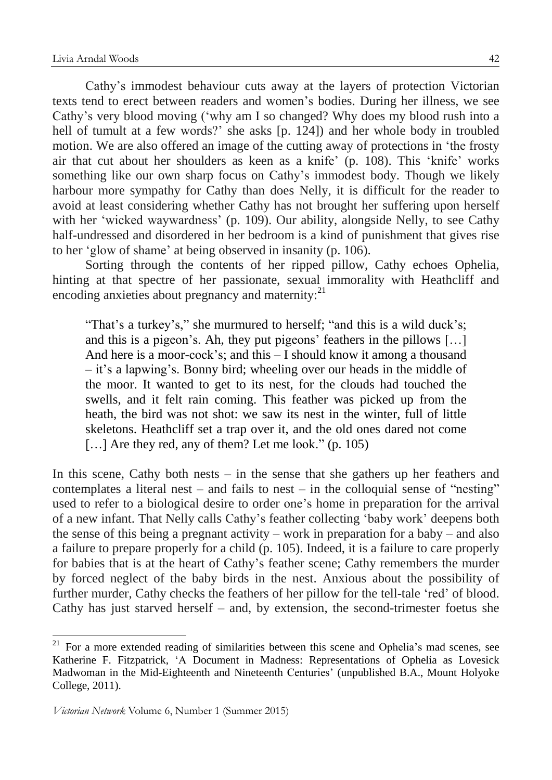Cathy's immodest behaviour cuts away at the layers of protection Victorian texts tend to erect between readers and women's bodies. During her illness, we see Cathy's very blood moving ('why am I so changed? Why does my blood rush into a hell of tumult at a few words?' she asks [p. 124]) and her whole body in troubled motion. We are also offered an image of the cutting away of protections in 'the frosty air that cut about her shoulders as keen as a knife' (p. 108). This 'knife' works something like our own sharp focus on Cathy's immodest body. Though we likely harbour more sympathy for Cathy than does Nelly, it is difficult for the reader to avoid at least considering whether Cathy has not brought her suffering upon herself with her 'wicked waywardness' (p. 109). Our ability, alongside Nelly, to see Cathy half-undressed and disordered in her bedroom is a kind of punishment that gives rise to her 'glow of shame' at being observed in insanity (p. 106).

Sorting through the contents of her ripped pillow, Cathy echoes Ophelia, hinting at that spectre of her passionate, sexual immorality with Heathcliff and encoding anxieties about pregnancy and maternity: <sup>21</sup>

"That's a turkey's," she murmured to herself; "and this is a wild duck's; and this is a pigeon's. Ah, they put pigeons' feathers in the pillows […] And here is a moor-cock's; and this – I should know it among a thousand – it's a lapwing's. Bonny bird; wheeling over our heads in the middle of the moor. It wanted to get to its nest, for the clouds had touched the swells, and it felt rain coming. This feather was picked up from the heath, the bird was not shot: we saw its nest in the winter, full of little skeletons. Heathcliff set a trap over it, and the old ones dared not come [...] Are they red, any of them? Let me look." (p. 105)

In this scene, Cathy both nests – in the sense that she gathers up her feathers and contemplates a literal nest – and fails to nest – in the colloquial sense of "nesting" used to refer to a biological desire to order one's home in preparation for the arrival of a new infant. That Nelly calls Cathy's feather collecting 'baby work' deepens both the sense of this being a pregnant activity – work in preparation for a baby – and also a failure to prepare properly for a child (p. 105). Indeed, it is a failure to care properly for babies that is at the heart of Cathy's feather scene; Cathy remembers the murder by forced neglect of the baby birds in the nest. Anxious about the possibility of further murder, Cathy checks the feathers of her pillow for the tell-tale 'red' of blood. Cathy has just starved herself – and, by extension, the second-trimester foetus she

 $21$  For a more extended reading of similarities between this scene and Ophelia's mad scenes, see Katherine F. Fitzpatrick, 'A Document in Madness: Representations of Ophelia as Lovesick Madwoman in the Mid-Eighteenth and Nineteenth Centuries' (unpublished B.A., Mount Holyoke College, 2011).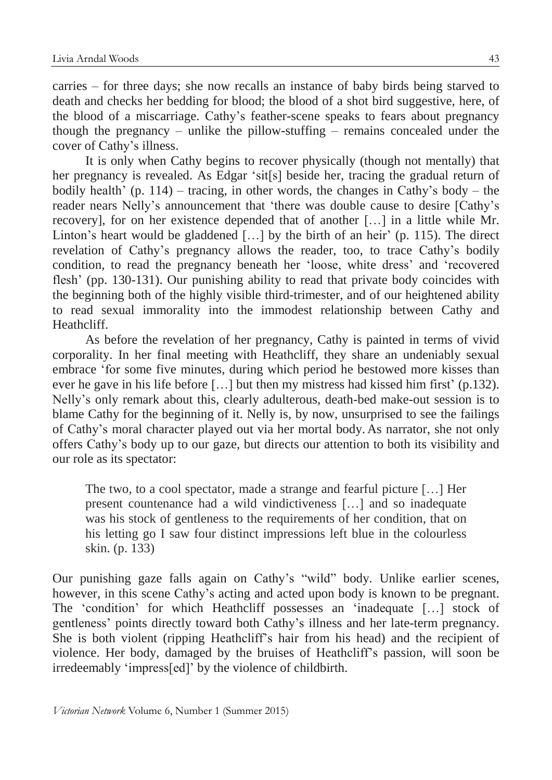carries – for three days; she now recalls an instance of baby birds being starved to death and checks her bedding for blood; the blood of a shot bird suggestive, here, of the blood of a miscarriage. Cathy's feather-scene speaks to fears about pregnancy though the pregnancy – unlike the pillow-stuffing – remains concealed under the cover of Cathy's illness.

It is only when Cathy begins to recover physically (though not mentally) that her pregnancy is revealed. As Edgar 'sit[s] beside her, tracing the gradual return of bodily health' (p. 114) – tracing, in other words, the changes in Cathy's body – the reader nears Nelly's announcement that 'there was double cause to desire [Cathy's recovery], for on her existence depended that of another […] in a little while Mr. Linton's heart would be gladdened [...] by the birth of an heir' (p. 115). The direct revelation of Cathy's pregnancy allows the reader, too, to trace Cathy's bodily condition, to read the pregnancy beneath her 'loose, white dress' and 'recovered flesh' (pp. 130-131). Our punishing ability to read that private body coincides with the beginning both of the highly visible third-trimester, and of our heightened ability to read sexual immorality into the immodest relationship between Cathy and Heathcliff.

As before the revelation of her pregnancy, Cathy is painted in terms of vivid corporality. In her final meeting with Heathcliff, they share an undeniably sexual embrace 'for some five minutes, during which period he bestowed more kisses than ever he gave in his life before […] but then my mistress had kissed him first' (p.132). Nelly's only remark about this, clearly adulterous, death-bed make-out session is to blame Cathy for the beginning of it. Nelly is, by now, unsurprised to see the failings of Cathy's moral character played out via her mortal body. As narrator, she not only offers Cathy's body up to our gaze, but directs our attention to both its visibility and our role as its spectator:

The two, to a cool spectator, made a strange and fearful picture […] Her present countenance had a wild vindictiveness […] and so inadequate was his stock of gentleness to the requirements of her condition, that on his letting go I saw four distinct impressions left blue in the colourless skin. (p. 133)

Our punishing gaze falls again on Cathy's "wild" body. Unlike earlier scenes, however, in this scene Cathy's acting and acted upon body is known to be pregnant. The 'condition' for which Heathcliff possesses an 'inadequate […] stock of gentleness' points directly toward both Cathy's illness and her late-term pregnancy. She is both violent (ripping Heathcliff's hair from his head) and the recipient of violence. Her body, damaged by the bruises of Heathcliff's passion, will soon be irredeemably 'impress[ed]' by the violence of childbirth.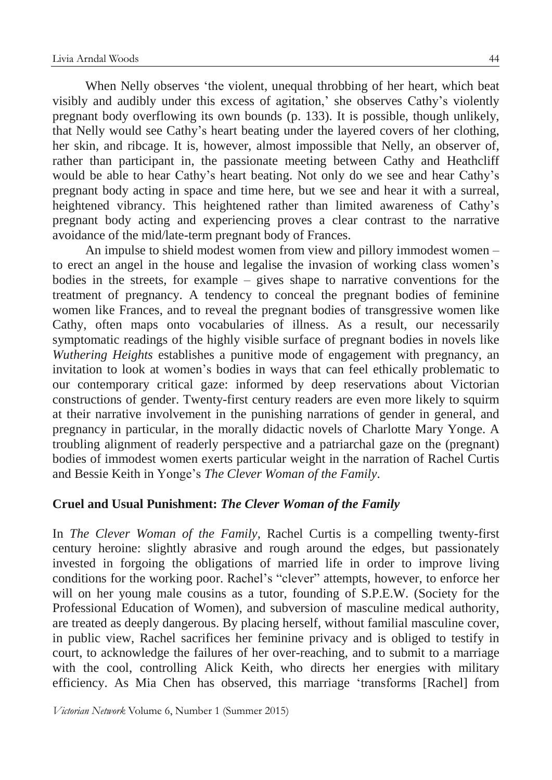When Nelly observes 'the violent, unequal throbbing of her heart, which beat visibly and audibly under this excess of agitation,' she observes Cathy's violently pregnant body overflowing its own bounds (p. 133). It is possible, though unlikely, that Nelly would see Cathy's heart beating under the layered covers of her clothing, her skin, and ribcage. It is, however, almost impossible that Nelly, an observer of, rather than participant in, the passionate meeting between Cathy and Heathcliff would be able to hear Cathy's heart beating. Not only do we see and hear Cathy's pregnant body acting in space and time here, but we see and hear it with a surreal, heightened vibrancy. This heightened rather than limited awareness of Cathy's pregnant body acting and experiencing proves a clear contrast to the narrative avoidance of the mid/late-term pregnant body of Frances.

An impulse to shield modest women from view and pillory immodest women – to erect an angel in the house and legalise the invasion of working class women's bodies in the streets, for example – gives shape to narrative conventions for the treatment of pregnancy. A tendency to conceal the pregnant bodies of feminine women like Frances, and to reveal the pregnant bodies of transgressive women like Cathy, often maps onto vocabularies of illness. As a result, our necessarily symptomatic readings of the highly visible surface of pregnant bodies in novels like *Wuthering Heights* establishes a punitive mode of engagement with pregnancy, an invitation to look at women's bodies in ways that can feel ethically problematic to our contemporary critical gaze: informed by deep reservations about Victorian constructions of gender. Twenty-first century readers are even more likely to squirm at their narrative involvement in the punishing narrations of gender in general, and pregnancy in particular, in the morally didactic novels of Charlotte Mary Yonge. A troubling alignment of readerly perspective and a patriarchal gaze on the (pregnant) bodies of immodest women exerts particular weight in the narration of Rachel Curtis and Bessie Keith in Yonge's *The Clever Woman of the Family*.

# **Cruel and Usual Punishment:** *The Clever Woman of the Family*

In *The Clever Woman of the Family,* Rachel Curtis is a compelling twenty-first century heroine: slightly abrasive and rough around the edges, but passionately invested in forgoing the obligations of married life in order to improve living conditions for the working poor. Rachel's "clever" attempts, however, to enforce her will on her young male cousins as a tutor, founding of S.P.E.W. (Society for the Professional Education of Women), and subversion of masculine medical authority, are treated as deeply dangerous. By placing herself, without familial masculine cover, in public view, Rachel sacrifices her feminine privacy and is obliged to testify in court, to acknowledge the failures of her over-reaching, and to submit to a marriage with the cool, controlling Alick Keith, who directs her energies with military efficiency. As Mia Chen has observed, this marriage 'transforms [Rachel] from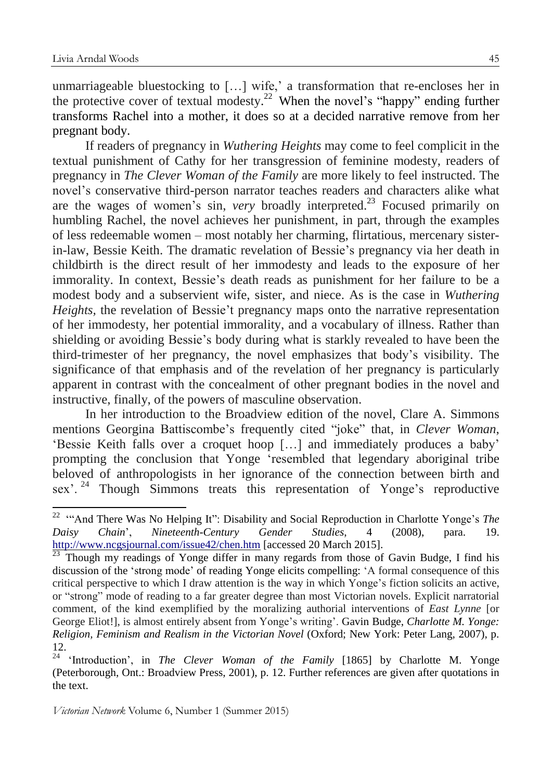<u>.</u>

unmarriageable bluestocking to […] wife,' a transformation that re-encloses her in the protective cover of textual modesty.<sup>22</sup> When the novel's "happy" ending further transforms Rachel into a mother, it does so at a decided narrative remove from her pregnant body.

If readers of pregnancy in *Wuthering Heights* may come to feel complicit in the textual punishment of Cathy for her transgression of feminine modesty, readers of pregnancy in *The Clever Woman of the Family* are more likely to feel instructed. The novel's conservative third-person narrator teaches readers and characters alike what are the wages of women's sin, *very* broadly interpreted.<sup>23</sup> Focused primarily on humbling Rachel, the novel achieves her punishment, in part, through the examples of less redeemable women – most notably her charming, flirtatious, mercenary sisterin-law, Bessie Keith. The dramatic revelation of Bessie's pregnancy via her death in childbirth is the direct result of her immodesty and leads to the exposure of her immorality. In context, Bessie's death reads as punishment for her failure to be a modest body and a subservient wife, sister, and niece. As is the case in *Wuthering Heights*, the revelation of Bessie't pregnancy maps onto the narrative representation of her immodesty, her potential immorality, and a vocabulary of illness. Rather than shielding or avoiding Bessie's body during what is starkly revealed to have been the third-trimester of her pregnancy, the novel emphasizes that body's visibility. The significance of that emphasis and of the revelation of her pregnancy is particularly apparent in contrast with the concealment of other pregnant bodies in the novel and instructive, finally, of the powers of masculine observation.

In her introduction to the Broadview edition of the novel, Clare A. Simmons mentions Georgina Battiscombe's frequently cited "joke" that, in *Clever Woman*, 'Bessie Keith falls over a croquet hoop […] and immediately produces a baby' prompting the conclusion that Yonge 'resembled that legendary aboriginal tribe beloved of anthropologists in her ignorance of the connection between birth and sex<sup>'. 24</sup> Though Simmons treats this representation of Yonge's reproductive

<sup>22</sup> '"And There Was No Helping It": Disability and Social Reproduction in Charlotte Yonge's *The Daisy Chain*', *Nineteenth-Century Gender Studies*, 4 (2008), para. 19. <http://www.ncgsjournal.com/issue42/chen.htm> [accessed 20 March 2015].

 $\frac{23}{23}$  Though my readings of Yonge differ in many regards from those of Gavin Budge, I find his discussion of the 'strong mode' of reading Yonge elicits compelling: 'A formal consequence of this critical perspective to which I draw attention is the way in which Yonge's fiction solicits an active, or "strong" mode of reading to a far greater degree than most Victorian novels. Explicit narratorial comment, of the kind exemplified by the moralizing authorial interventions of *East Lynne* [or George Eliot!], is almost entirely absent from Yonge's writing'. Gavin Budge, *Charlotte M. Yonge: Religion, Feminism and Realism in the Victorian Novel* (Oxford; New York: Peter Lang, 2007), p. 12.

<sup>24</sup> 'Introduction', in *The Clever Woman of the Family* [1865] by Charlotte M. Yonge (Peterborough, Ont.: Broadview Press, 2001), p. 12. Further references are given after quotations in the text.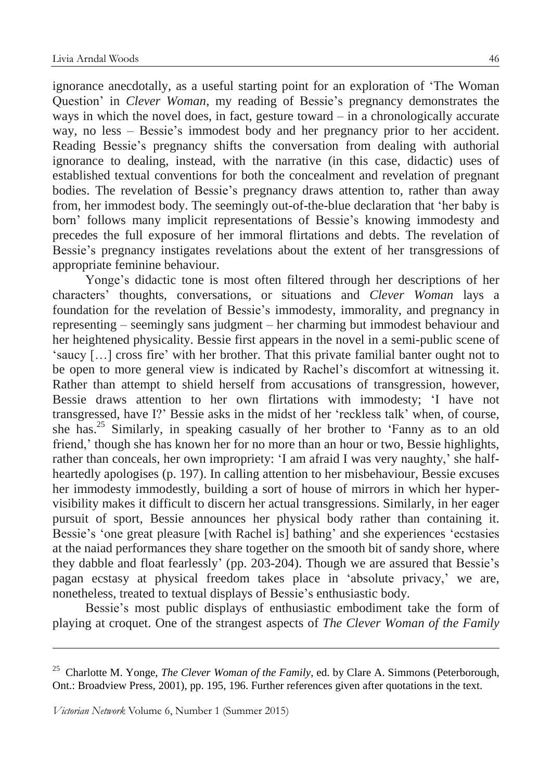ignorance anecdotally, as a useful starting point for an exploration of 'The Woman Question' in *Clever Woman*, my reading of Bessie's pregnancy demonstrates the ways in which the novel does, in fact, gesture toward  $-$  in a chronologically accurate way, no less – Bessie's immodest body and her pregnancy prior to her accident. Reading Bessie's pregnancy shifts the conversation from dealing with authorial ignorance to dealing, instead, with the narrative (in this case, didactic) uses of established textual conventions for both the concealment and revelation of pregnant bodies. The revelation of Bessie's pregnancy draws attention to, rather than away from, her immodest body. The seemingly out-of-the-blue declaration that 'her baby is born' follows many implicit representations of Bessie's knowing immodesty and precedes the full exposure of her immoral flirtations and debts. The revelation of Bessie's pregnancy instigates revelations about the extent of her transgressions of appropriate feminine behaviour.

Yonge's didactic tone is most often filtered through her descriptions of her characters' thoughts, conversations, or situations and *Clever Woman* lays a foundation for the revelation of Bessie's immodesty, immorality, and pregnancy in representing – seemingly sans judgment – her charming but immodest behaviour and her heightened physicality. Bessie first appears in the novel in a semi-public scene of 'saucy […] cross fire' with her brother. That this private familial banter ought not to be open to more general view is indicated by Rachel's discomfort at witnessing it. Rather than attempt to shield herself from accusations of transgression, however, Bessie draws attention to her own flirtations with immodesty; 'I have not transgressed, have I?' Bessie asks in the midst of her 'reckless talk' when, of course, she has.<sup>25</sup> Similarly, in speaking casually of her brother to 'Fanny as to an old friend,' though she has known her for no more than an hour or two, Bessie highlights, rather than conceals, her own impropriety: 'I am afraid I was very naughty,' she halfheartedly apologises (p. 197). In calling attention to her misbehaviour, Bessie excuses her immodesty immodestly, building a sort of house of mirrors in which her hypervisibility makes it difficult to discern her actual transgressions. Similarly, in her eager pursuit of sport, Bessie announces her physical body rather than containing it. Bessie's 'one great pleasure [with Rachel is] bathing' and she experiences 'ecstasies at the naiad performances they share together on the smooth bit of sandy shore, where they dabble and float fearlessly' (pp. 203-204). Though we are assured that Bessie's pagan ecstasy at physical freedom takes place in 'absolute privacy,' we are, nonetheless, treated to textual displays of Bessie's enthusiastic body.

Bessie's most public displays of enthusiastic embodiment take the form of playing at croquet. One of the strangest aspects of *The Clever Woman of the Family*

<u>.</u>

<sup>25</sup> Charlotte M. Yonge, *The Clever Woman of the Family*, ed. by Clare A. Simmons (Peterborough, Ont.: Broadview Press, 2001), pp. 195, 196. Further references given after quotations in the text.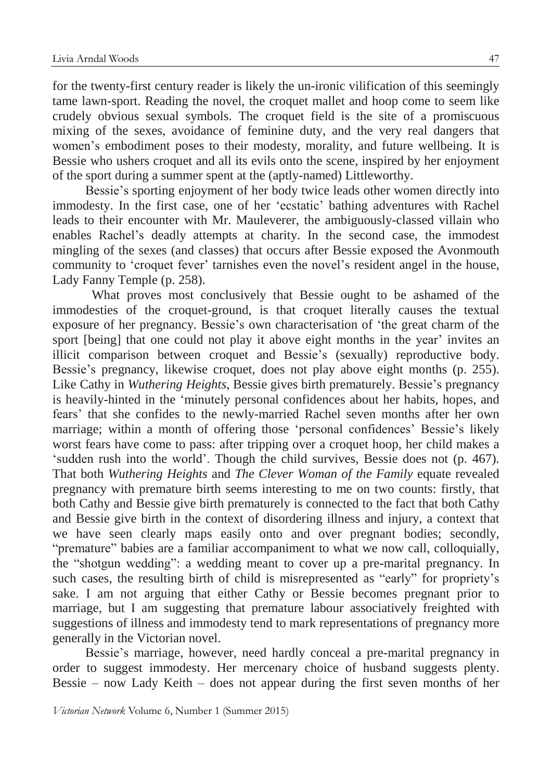for the twenty-first century reader is likely the un-ironic vilification of this seemingly tame lawn-sport. Reading the novel, the croquet mallet and hoop come to seem like crudely obvious sexual symbols. The croquet field is the site of a promiscuous mixing of the sexes, avoidance of feminine duty, and the very real dangers that women's embodiment poses to their modesty, morality, and future wellbeing. It is Bessie who ushers croquet and all its evils onto the scene, inspired by her enjoyment of the sport during a summer spent at the (aptly-named) Littleworthy.

Bessie's sporting enjoyment of her body twice leads other women directly into immodesty. In the first case, one of her 'ecstatic' bathing adventures with Rachel leads to their encounter with Mr. Mauleverer, the ambiguously-classed villain who enables Rachel's deadly attempts at charity. In the second case, the immodest mingling of the sexes (and classes) that occurs after Bessie exposed the Avonmouth community to 'croquet fever' tarnishes even the novel's resident angel in the house, Lady Fanny Temple (p. 258).

What proves most conclusively that Bessie ought to be ashamed of the immodesties of the croquet-ground, is that croquet literally causes the textual exposure of her pregnancy. Bessie's own characterisation of 'the great charm of the sport [being] that one could not play it above eight months in the year' invites an illicit comparison between croquet and Bessie's (sexually) reproductive body. Bessie's pregnancy, likewise croquet, does not play above eight months (p. 255). Like Cathy in *Wuthering Heights*, Bessie gives birth prematurely. Bessie's pregnancy is heavily-hinted in the 'minutely personal confidences about her habits, hopes, and fears' that she confides to the newly-married Rachel seven months after her own marriage; within a month of offering those 'personal confidences' Bessie's likely worst fears have come to pass: after tripping over a croquet hoop, her child makes a 'sudden rush into the world'. Though the child survives, Bessie does not (p. 467). That both *Wuthering Heights* and *The Clever Woman of the Family* equate revealed pregnancy with premature birth seems interesting to me on two counts: firstly, that both Cathy and Bessie give birth prematurely is connected to the fact that both Cathy and Bessie give birth in the context of disordering illness and injury, a context that we have seen clearly maps easily onto and over pregnant bodies; secondly, "premature" babies are a familiar accompaniment to what we now call, colloquially, the "shotgun wedding": a wedding meant to cover up a pre-marital pregnancy. In such cases, the resulting birth of child is misrepresented as "early" for propriety's sake. I am not arguing that either Cathy or Bessie becomes pregnant prior to marriage, but I am suggesting that premature labour associatively freighted with suggestions of illness and immodesty tend to mark representations of pregnancy more generally in the Victorian novel.

Bessie's marriage, however, need hardly conceal a pre-marital pregnancy in order to suggest immodesty. Her mercenary choice of husband suggests plenty. Bessie – now Lady Keith – does not appear during the first seven months of her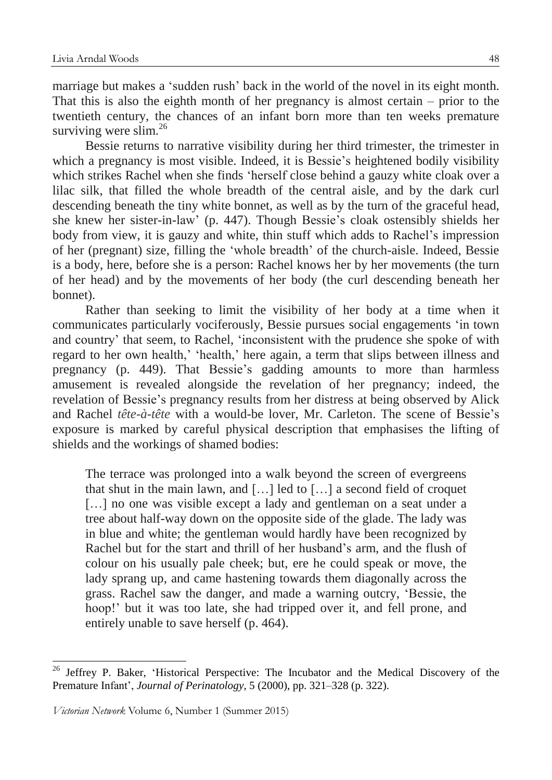marriage but makes a 'sudden rush' back in the world of the novel in its eight month. That this is also the eighth month of her pregnancy is almost certain – prior to the twentieth century, the chances of an infant born more than ten weeks premature surviving were slim.<sup>26</sup>

Bessie returns to narrative visibility during her third trimester, the trimester in which a pregnancy is most visible. Indeed, it is Bessie's heightened bodily visibility which strikes Rachel when she finds 'herself close behind a gauzy white cloak over a lilac silk, that filled the whole breadth of the central aisle, and by the dark curl descending beneath the tiny white bonnet, as well as by the turn of the graceful head, she knew her sister-in-law' (p. 447). Though Bessie's cloak ostensibly shields her body from view, it is gauzy and white, thin stuff which adds to Rachel's impression of her (pregnant) size, filling the 'whole breadth' of the church-aisle. Indeed, Bessie is a body, here, before she is a person: Rachel knows her by her movements (the turn of her head) and by the movements of her body (the curl descending beneath her bonnet).

Rather than seeking to limit the visibility of her body at a time when it communicates particularly vociferously, Bessie pursues social engagements 'in town and country' that seem, to Rachel, 'inconsistent with the prudence she spoke of with regard to her own health,' 'health,' here again, a term that slips between illness and pregnancy (p. 449). That Bessie's gadding amounts to more than harmless amusement is revealed alongside the revelation of her pregnancy; indeed, the revelation of Bessie's pregnancy results from her distress at being observed by Alick and Rachel *tête-à-tête* with a would-be lover, Mr. Carleton. The scene of Bessie's exposure is marked by careful physical description that emphasises the lifting of shields and the workings of shamed bodies:

The terrace was prolonged into a walk beyond the screen of evergreens that shut in the main lawn, and […] led to […] a second field of croquet [...] no one was visible except a lady and gentleman on a seat under a tree about half-way down on the opposite side of the glade. The lady was in blue and white; the gentleman would hardly have been recognized by Rachel but for the start and thrill of her husband's arm, and the flush of colour on his usually pale cheek; but, ere he could speak or move, the lady sprang up, and came hastening towards them diagonally across the grass. Rachel saw the danger, and made a warning outcry, 'Bessie, the hoop!' but it was too late, she had tripped over it, and fell prone, and entirely unable to save herself (p. 464).

<u>.</u>

<sup>&</sup>lt;sup>26</sup> Jeffrey P. Baker, 'Historical Perspective: The Incubator and the Medical Discovery of the Premature Infant', *Journal of Perinatology*, 5 (2000), pp. 321–328 (p. 322).

*Victorian Network* Volume 6, Number 1 (Summer 2015)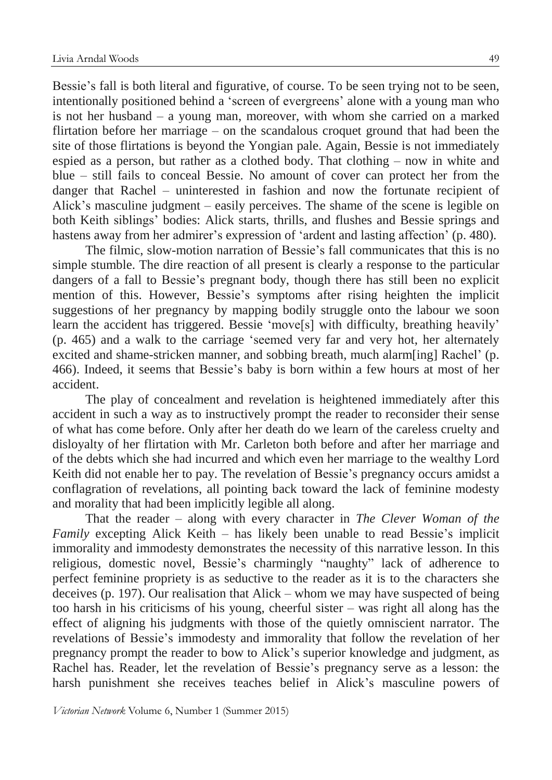Bessie's fall is both literal and figurative, of course. To be seen trying not to be seen, intentionally positioned behind a 'screen of evergreens' alone with a young man who is not her husband – a young man, moreover, with whom she carried on a marked flirtation before her marriage – on the scandalous croquet ground that had been the site of those flirtations is beyond the Yongian pale. Again, Bessie is not immediately espied as a person, but rather as a clothed body. That clothing – now in white and blue – still fails to conceal Bessie. No amount of cover can protect her from the danger that Rachel – uninterested in fashion and now the fortunate recipient of Alick's masculine judgment – easily perceives. The shame of the scene is legible on both Keith siblings' bodies: Alick starts, thrills, and flushes and Bessie springs and hastens away from her admirer's expression of 'ardent and lasting affection' (p. 480).

The filmic, slow-motion narration of Bessie's fall communicates that this is no simple stumble. The dire reaction of all present is clearly a response to the particular dangers of a fall to Bessie's pregnant body, though there has still been no explicit mention of this. However, Bessie's symptoms after rising heighten the implicit suggestions of her pregnancy by mapping bodily struggle onto the labour we soon learn the accident has triggered. Bessie 'move[s] with difficulty, breathing heavily' (p. 465) and a walk to the carriage 'seemed very far and very hot, her alternately excited and shame-stricken manner, and sobbing breath, much alarm[ing] Rachel' (p. 466). Indeed, it seems that Bessie's baby is born within a few hours at most of her accident.

The play of concealment and revelation is heightened immediately after this accident in such a way as to instructively prompt the reader to reconsider their sense of what has come before. Only after her death do we learn of the careless cruelty and disloyalty of her flirtation with Mr. Carleton both before and after her marriage and of the debts which she had incurred and which even her marriage to the wealthy Lord Keith did not enable her to pay. The revelation of Bessie's pregnancy occurs amidst a conflagration of revelations, all pointing back toward the lack of feminine modesty and morality that had been implicitly legible all along.

That the reader – along with every character in *The Clever Woman of the Family* excepting Alick Keith – has likely been unable to read Bessie's implicit immorality and immodesty demonstrates the necessity of this narrative lesson. In this religious, domestic novel, Bessie's charmingly "naughty" lack of adherence to perfect feminine propriety is as seductive to the reader as it is to the characters she deceives (p. 197). Our realisation that Alick – whom we may have suspected of being too harsh in his criticisms of his young, cheerful sister – was right all along has the effect of aligning his judgments with those of the quietly omniscient narrator. The revelations of Bessie's immodesty and immorality that follow the revelation of her pregnancy prompt the reader to bow to Alick's superior knowledge and judgment, as Rachel has. Reader, let the revelation of Bessie's pregnancy serve as a lesson: the harsh punishment she receives teaches belief in Alick's masculine powers of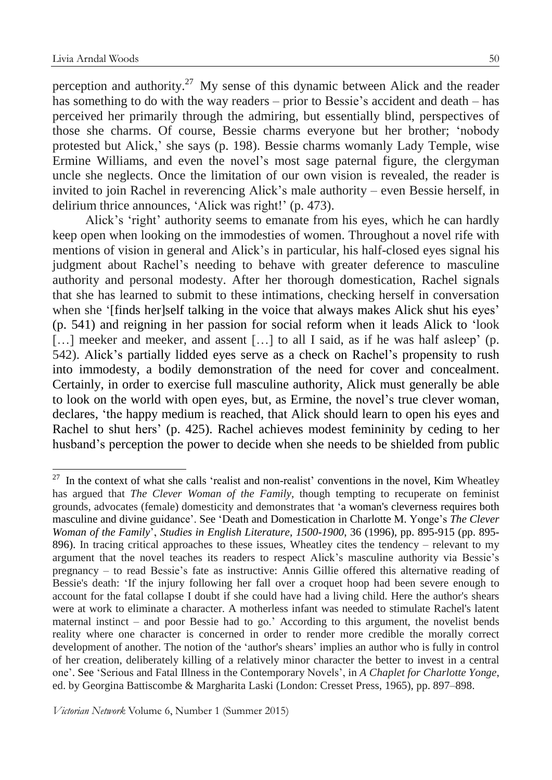perception and authority.<sup>27</sup> My sense of this dynamic between Alick and the reader has something to do with the way readers – prior to Bessie's accident and death – has perceived her primarily through the admiring, but essentially blind, perspectives of those she charms. Of course, Bessie charms everyone but her brother; 'nobody protested but Alick,' she says (p. 198). Bessie charms womanly Lady Temple, wise Ermine Williams, and even the novel's most sage paternal figure, the clergyman uncle she neglects. Once the limitation of our own vision is revealed, the reader is invited to join Rachel in reverencing Alick's male authority – even Bessie herself, in delirium thrice announces, 'Alick was right!' (p. 473).

Alick's 'right' authority seems to emanate from his eyes, which he can hardly keep open when looking on the immodesties of women. Throughout a novel rife with mentions of vision in general and Alick's in particular, his half-closed eyes signal his judgment about Rachel's needing to behave with greater deference to masculine authority and personal modesty. After her thorough domestication, Rachel signals that she has learned to submit to these intimations, checking herself in conversation when she '[finds her]self talking in the voice that always makes Alick shut his eyes' (p. 541) and reigning in her passion for social reform when it leads Alick to 'look [...] meeker and meeker, and assent [...] to all I said, as if he was half asleep' (p. 542). Alick's partially lidded eyes serve as a check on Rachel's propensity to rush into immodesty, a bodily demonstration of the need for cover and concealment. Certainly, in order to exercise full masculine authority, Alick must generally be able to look on the world with open eyes, but, as Ermine, the novel's true clever woman, declares, 'the happy medium is reached, that Alick should learn to open his eyes and Rachel to shut hers' (p. 425). Rachel achieves modest femininity by ceding to her husband's perception the power to decide when she needs to be shielded from public

 $27$  In the context of what she calls 'realist and non-realist' conventions in the novel, Kim Wheatley has argued that *The Clever Woman of the Family*, though tempting to recuperate on feminist grounds, advocates (female) domesticity and demonstrates that 'a woman's cleverness requires both masculine and divine guidance'. See 'Death and Domestication in Charlotte M. Yonge's *The Clever Woman of the Family*', *Studies in English Literature, 1500-1900*, 36 (1996), pp. 895-915 (pp. 895- 896). In tracing critical approaches to these issues, Wheatley cites the tendency – relevant to my argument that the novel teaches its readers to respect Alick's masculine authority via Bessie's pregnancy – to read Bessie's fate as instructive: Annis Gillie offered this alternative reading of Bessie's death: 'If the injury following her fall over a croquet hoop had been severe enough to account for the fatal collapse I doubt if she could have had a living child. Here the author's shears were at work to eliminate a character. A motherless infant was needed to stimulate Rachel's latent maternal instinct – and poor Bessie had to go.' According to this argument, the novelist bends reality where one character is concerned in order to render more credible the morally correct development of another. The notion of the 'author's shears' implies an author who is fully in control of her creation, deliberately killing of a relatively minor character the better to invest in a central one'. See 'Serious and Fatal Illness in the Contemporary Novels', in *A Chaplet for Charlotte Yonge*, ed. by Georgina Battiscombe & Margharita Laski (London: Cresset Press, 1965), pp. 897–898.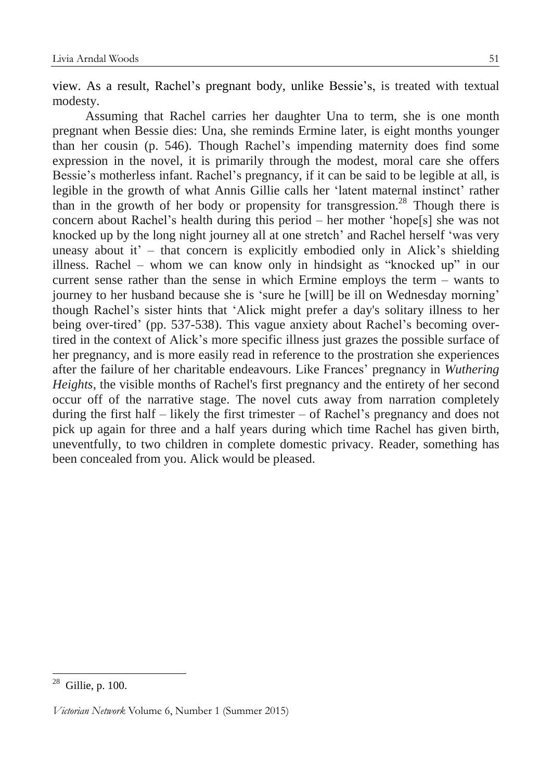view. As a result, Rachel's pregnant body, unlike Bessie's, is treated with textual modesty.

Assuming that Rachel carries her daughter Una to term, she is one month pregnant when Bessie dies: Una, she reminds Ermine later, is eight months younger than her cousin (p. 546). Though Rachel's impending maternity does find some expression in the novel, it is primarily through the modest, moral care she offers Bessie's motherless infant. Rachel's pregnancy, if it can be said to be legible at all, is legible in the growth of what Annis Gillie calls her 'latent maternal instinct' rather than in the growth of her body or propensity for transgression.<sup>28</sup> Though there is concern about Rachel's health during this period – her mother 'hope[s] she was not knocked up by the long night journey all at one stretch' and Rachel herself 'was very uneasy about it' – that concern is explicitly embodied only in Alick's shielding illness. Rachel – whom we can know only in hindsight as "knocked up" in our current sense rather than the sense in which Ermine employs the term – wants to journey to her husband because she is 'sure he [will] be ill on Wednesday morning' though Rachel's sister hints that 'Alick might prefer a day's solitary illness to her being over-tired' (pp. 537-538). This vague anxiety about Rachel's becoming overtired in the context of Alick's more specific illness just grazes the possible surface of her pregnancy, and is more easily read in reference to the prostration she experiences after the failure of her charitable endeavours. Like Frances' pregnancy in *Wuthering Heights*, the visible months of Rachel's first pregnancy and the entirety of her second occur off of the narrative stage. The novel cuts away from narration completely during the first half – likely the first trimester – of Rachel's pregnancy and does not pick up again for three and a half years during which time Rachel has given birth, uneventfully, to two children in complete domestic privacy. Reader, something has been concealed from you. Alick would be pleased.

 $28$  Gillie, p. 100.

*Victorian Network* Volume 6, Number 1 (Summer 2015)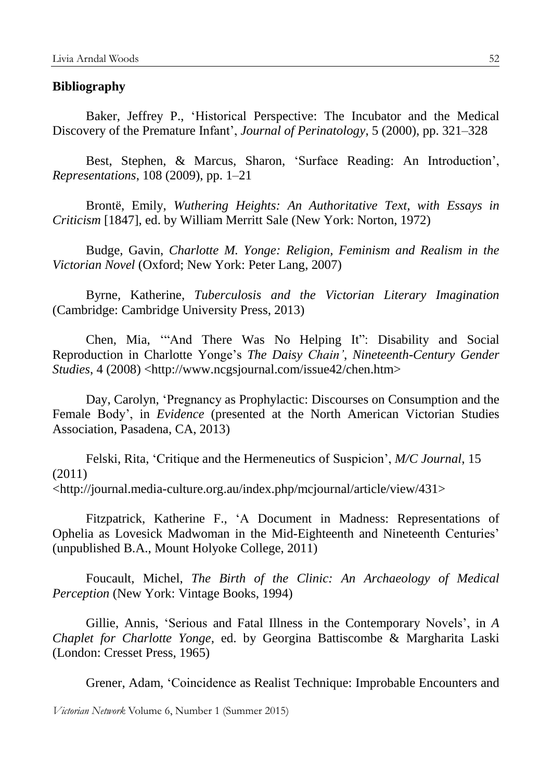#### **Bibliography**

Baker, Jeffrey P., 'Historical Perspective: The Incubator and the Medical Discovery of the Premature Infant', *Journal of Perinatology*, 5 (2000), pp. 321–328

Best, Stephen, & Marcus, Sharon, 'Surface Reading: An Introduction', *Representations*, 108 (2009), pp. 1–21

Brontë, Emily, *Wuthering Heights: An Authoritative Text, with Essays in Criticism* [1847], ed. by William Merritt Sale (New York: Norton, 1972)

Budge, Gavin, *Charlotte M. Yonge: Religion, Feminism and Realism in the Victorian Novel* (Oxford; New York: Peter Lang, 2007)

Byrne, Katherine, *Tuberculosis and the Victorian Literary Imagination* (Cambridge: Cambridge University Press, 2013)

Chen, Mia, '"And There Was No Helping It": Disability and Social Reproduction in Charlotte Yonge's *The Daisy Chain'*, *Nineteenth-Century Gender Studies*, 4 (2008) <http://www.ncgsjournal.com/issue42/chen.htm>

Day, Carolyn, 'Pregnancy as Prophylactic: Discourses on Consumption and the Female Body', in *Evidence* (presented at the North American Victorian Studies Association, Pasadena, CA, 2013)

Felski, Rita, 'Critique and the Hermeneutics of Suspicion', *M/C Journal*, 15 (2011) <http://journal.media-culture.org.au/index.php/mcjournal/article/view/431>

Fitzpatrick, Katherine F., 'A Document in Madness: Representations of Ophelia as Lovesick Madwoman in the Mid-Eighteenth and Nineteenth Centuries' (unpublished B.A., Mount Holyoke College, 2011)

Foucault, Michel, *The Birth of the Clinic: An Archaeology of Medical Perception* (New York: Vintage Books, 1994)

Gillie, Annis, 'Serious and Fatal Illness in the Contemporary Novels', in *A Chaplet for Charlotte Yonge*, ed. by Georgina Battiscombe & Margharita Laski (London: Cresset Press, 1965)

Grener, Adam, 'Coincidence as Realist Technique: Improbable Encounters and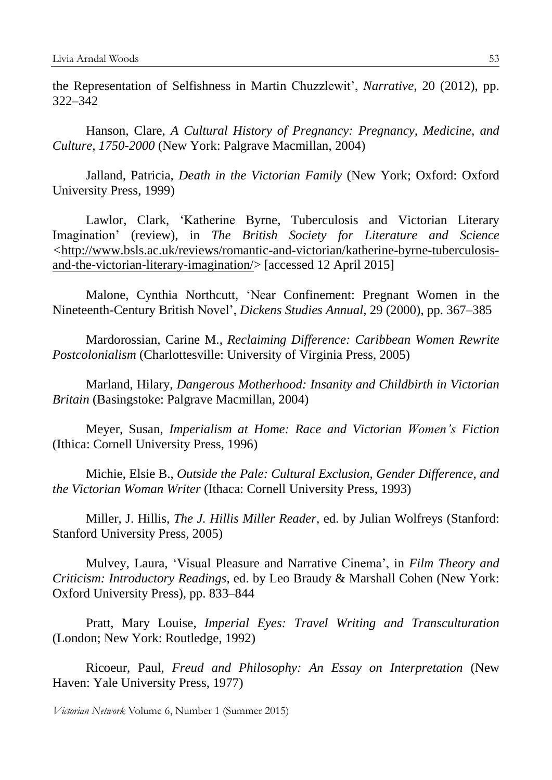the Representation of Selfishness in Martin Chuzzlewit', *Narrative*, 20 (2012), pp. 322–342

Hanson, Clare, *A Cultural History of Pregnancy: Pregnancy, Medicine, and Culture, 1750-2000* (New York: Palgrave Macmillan, 2004)

Jalland, Patricia, *Death in the Victorian Family* (New York; Oxford: Oxford University Press, 1999)

Lawlor, Clark, 'Katherine Byrne, Tuberculosis and Victorian Literary Imagination' (review), in *The British Society for Literature and Science <*[http://www.bsls.ac.uk/reviews/romantic-and-victorian/katherine-byrne-tuberculosis](http://www.bsls.ac.uk/reviews/romantic-and-victorian/katherine-byrne-tuberculosis-and-the-victorian-literary-imagination/)[and-the-victorian-literary-imagination/>](http://www.bsls.ac.uk/reviews/romantic-and-victorian/katherine-byrne-tuberculosis-and-the-victorian-literary-imagination/) [accessed 12 April 2015]

Malone, Cynthia Northcutt, 'Near Confinement: Pregnant Women in the Nineteenth-Century British Novel', *Dickens Studies Annual*, 29 (2000), pp. 367–385

Mardorossian, Carine M., *Reclaiming Difference: Caribbean Women Rewrite Postcolonialism* (Charlottesville: University of Virginia Press, 2005)

Marland, Hilary, *Dangerous Motherhood: Insanity and Childbirth in Victorian Britain* (Basingstoke: Palgrave Macmillan, 2004)

Meyer, Susan, *Imperialism at Home: Race and Victorian Women's Fiction* (Ithica: Cornell University Press, 1996)

Michie, Elsie B., *Outside the Pale: Cultural Exclusion, Gender Difference, and the Victorian Woman Writer* (Ithaca: Cornell University Press, 1993)

Miller, J. Hillis, *The J. Hillis Miller Reader*, ed. by Julian Wolfreys (Stanford: Stanford University Press, 2005)

Mulvey, Laura, 'Visual Pleasure and Narrative Cinema', in *Film Theory and Criticism: Introductory Readings*, ed. by Leo Braudy & Marshall Cohen (New York: Oxford University Press), pp. 833–844

Pratt, Mary Louise, *Imperial Eyes: Travel Writing and Transculturation* (London; New York: Routledge, 1992)

Ricoeur, Paul, *Freud and Philosophy: An Essay on Interpretation* (New Haven: Yale University Press, 1977)

*Victorian Network* Volume 6, Number 1 (Summer 2015)